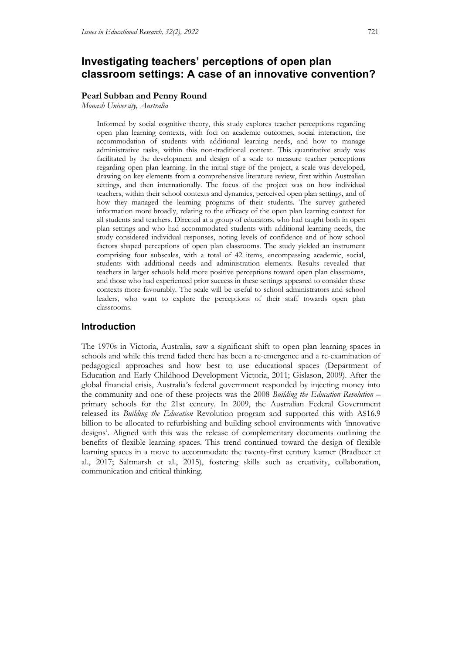## **Investigating teachers' perceptions of open plan classroom settings: A case of an innovative convention?**

#### **Pearl Subban and Penny Round**

*Monash University, Australia*

Informed by social cognitive theory, this study explores teacher perceptions regarding open plan learning contexts, with foci on academic outcomes, social interaction, the accommodation of students with additional learning needs, and how to manage administrative tasks, within this non-traditional context. This quantitative study was facilitated by the development and design of a scale to measure teacher perceptions regarding open plan learning. In the initial stage of the project, a scale was developed, drawing on key elements from a comprehensive literature review, first within Australian settings, and then internationally. The focus of the project was on how individual teachers, within their school contexts and dynamics, perceived open plan settings, and of how they managed the learning programs of their students. The survey gathered information more broadly, relating to the efficacy of the open plan learning context for all students and teachers. Directed at a group of educators, who had taught both in open plan settings and who had accommodated students with additional learning needs, the study considered individual responses, noting levels of confidence and of how school factors shaped perceptions of open plan classrooms. The study yielded an instrument comprising four subscales, with a total of 42 items, encompassing academic, social, students with additional needs and administration elements. Results revealed that teachers in larger schools held more positive perceptions toward open plan classrooms, and those who had experienced prior success in these settings appeared to consider these contexts more favourably. The scale will be useful to school administrators and school leaders, who want to explore the perceptions of their staff towards open plan classrooms.

### **Introduction**

The 1970s in Victoria, Australia, saw a significant shift to open plan learning spaces in schools and while this trend faded there has been a re-emergence and a re-examination of pedagogical approaches and how best to use educational spaces (Department of Education and Early Childhood Development Victoria, 2011; Gislason, 2009). After the global financial crisis, Australia's federal government responded by injecting money into the community and one of these projects was the 2008 *Building the Education Revolution* – primary schools for the 21st century. In 2009, the Australian Federal Government released its *Building the Education* Revolution program and supported this with A\$16.9 billion to be allocated to refurbishing and building school environments with 'innovative designs'. Aligned with this was the release of complementary documents outlining the benefits of flexible learning spaces. This trend continued toward the design of flexible learning spaces in a move to accommodate the twenty-first century learner (Bradbeer et al., 2017; Saltmarsh et al., 2015), fostering skills such as creativity, collaboration, communication and critical thinking.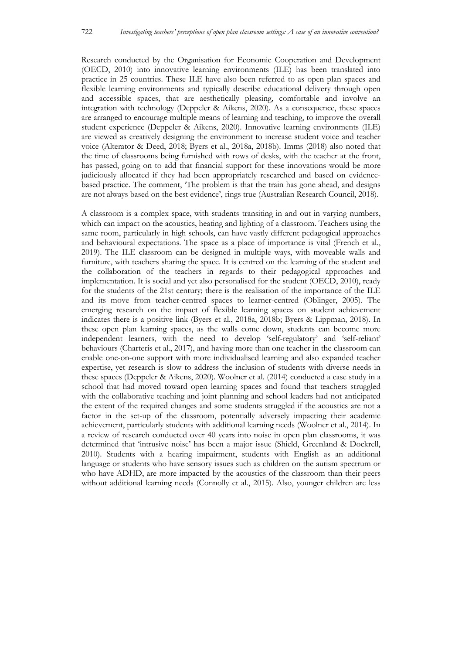Research conducted by the Organisation for Economic Cooperation and Development (OECD, 2010) into innovative learning environments (ILE) has been translated into practice in 25 countries. These ILE have also been referred to as open plan spaces and flexible learning environments and typically describe educational delivery through open and accessible spaces, that are aesthetically pleasing, comfortable and involve an integration with technology (Deppeler & Aikens, 2020). As a consequence, these spaces are arranged to encourage multiple means of learning and teaching, to improve the overall student experience (Deppeler & Aikens, 2020). Innovative learning environments (ILE) are viewed as creatively designing the environment to increase student voice and teacher voice (Alterator & Deed, 2018; Byers et al., 2018a, 2018b). Imms (2018) also noted that the time of classrooms being furnished with rows of desks, with the teacher at the front, has passed, going on to add that financial support for these innovations would be more judiciously allocated if they had been appropriately researched and based on evidencebased practice. The comment, 'The problem is that the train has gone ahead, and designs are not always based on the best evidence', rings true (Australian Research Council, 2018).

A classroom is a complex space, with students transiting in and out in varying numbers, which can impact on the acoustics, heating and lighting of a classroom. Teachers using the same room, particularly in high schools, can have vastly different pedagogical approaches and behavioural expectations. The space as a place of importance is vital (French et al., 2019). The ILE classroom can be designed in multiple ways, with moveable walls and furniture, with teachers sharing the space. It is centred on the learning of the student and the collaboration of the teachers in regards to their pedagogical approaches and implementation. It is social and yet also personalised for the student (OECD, 2010), ready for the students of the 21st century; there is the realisation of the importance of the ILE and its move from teacher-centred spaces to learner-centred (Oblinger, 2005). The emerging research on the impact of flexible learning spaces on student achievement indicates there is a positive link (Byers et al., 2018a, 2018b; Byers & Lippman, 2018). In these open plan learning spaces, as the walls come down, students can become more independent learners, with the need to develop 'self-regulatory' and 'self-reliant' behaviours (Charteris et al., 2017), and having more than one teacher in the classroom can enable one-on-one support with more individualised learning and also expanded teacher expertise, yet research is slow to address the inclusion of students with diverse needs in these spaces (Deppeler & Aikens, 2020). Woolner et al. (2014) conducted a case study in a school that had moved toward open learning spaces and found that teachers struggled with the collaborative teaching and joint planning and school leaders had not anticipated the extent of the required changes and some students struggled if the acoustics are not a factor in the set-up of the classroom, potentially adversely impacting their academic achievement, particularly students with additional learning needs (Woolner et al., 2014). In a review of research conducted over 40 years into noise in open plan classrooms, it was determined that 'intrusive noise' has been a major issue (Shield, Greenland & Dockrell, 2010). Students with a hearing impairment, students with English as an additional language or students who have sensory issues such as children on the autism spectrum or who have ADHD, are more impacted by the acoustics of the classroom than their peers without additional learning needs (Connolly et al., 2015). Also, younger children are less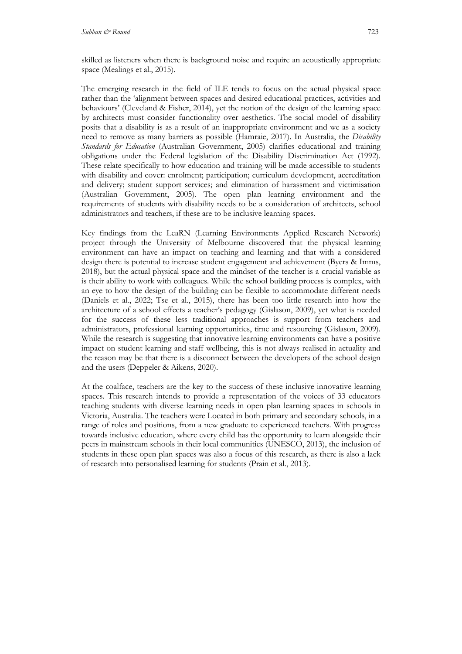The emerging research in the field of ILE tends to focus on the actual physical space rather than the 'alignment between spaces and desired educational practices, activities and behaviours' (Cleveland & Fisher, 2014), yet the notion of the design of the learning space by architects must consider functionality over aesthetics. The social model of disability posits that a disability is as a result of an inappropriate environment and we as a society need to remove as many barriers as possible (Hamraie, 2017). In Australia, the *Disability Standards for Education* (Australian Government, 2005) clarifies educational and training obligations under the Federal legislation of the Disability Discrimination Act (1992). These relate specifically to how education and training will be made accessible to students with disability and cover: enrolment; participation; curriculum development, accreditation and delivery; student support services; and elimination of harassment and victimisation (Australian Government, 2005). The open plan learning environment and the requirements of students with disability needs to be a consideration of architects, school administrators and teachers, if these are to be inclusive learning spaces.

Key findings from the LeaRN (Learning Environments Applied Research Network) project through the University of Melbourne discovered that the physical learning environment can have an impact on teaching and learning and that with a considered design there is potential to increase student engagement and achievement (Byers & Imms, 2018), but the actual physical space and the mindset of the teacher is a crucial variable as is their ability to work with colleagues. While the school building process is complex, with an eye to how the design of the building can be flexible to accommodate different needs (Daniels et al., 2022; Tse et al., 2015), there has been too little research into how the architecture of a school effects a teacher's pedagogy (Gislason, 2009), yet what is needed for the success of these less traditional approaches is support from teachers and administrators, professional learning opportunities, time and resourcing (Gislason, 2009). While the research is suggesting that innovative learning environments can have a positive impact on student learning and staff wellbeing, this is not always realised in actuality and the reason may be that there is a disconnect between the developers of the school design and the users (Deppeler & Aikens, 2020).

At the coalface, teachers are the key to the success of these inclusive innovative learning spaces. This research intends to provide a representation of the voices of 33 educators teaching students with diverse learning needs in open plan learning spaces in schools in Victoria, Australia. The teachers were Located in both primary and secondary schools, in a range of roles and positions, from a new graduate to experienced teachers. With progress towards inclusive education, where every child has the opportunity to learn alongside their peers in mainstream schools in their local communities (UNESCO, 2013), the inclusion of students in these open plan spaces was also a focus of this research, as there is also a lack of research into personalised learning for students (Prain et al., 2013).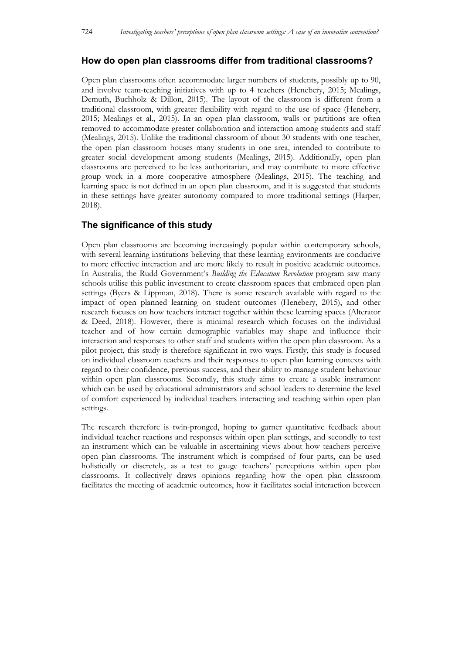## **How do open plan classrooms differ from traditional classrooms?**

Open plan classrooms often accommodate larger numbers of students, possibly up to 90, and involve team-teaching initiatives with up to 4 teachers (Henebery, 2015; Mealings, Demuth, Buchholz & Dillon, 2015). The layout of the classroom is different from a traditional classroom, with greater flexibility with regard to the use of space (Henebery, 2015; Mealings et al., 2015). In an open plan classroom, walls or partitions are often removed to accommodate greater collaboration and interaction among students and staff (Mealings, 2015). Unlike the traditional classroom of about 30 students with one teacher, the open plan classroom houses many students in one area, intended to contribute to greater social development among students (Mealings, 2015). Additionally, open plan classrooms are perceived to be less authoritarian, and may contribute to more effective group work in a more cooperative atmosphere (Mealings, 2015). The teaching and learning space is not defined in an open plan classroom, and it is suggested that students in these settings have greater autonomy compared to more traditional settings (Harper, 2018).

## **The significance of this study**

Open plan classrooms are becoming increasingly popular within contemporary schools, with several learning institutions believing that these learning environments are conducive to more effective interaction and are more likely to result in positive academic outcomes. In Australia, the Rudd Government's *Building the Education Revolution* program saw many schools utilise this public investment to create classroom spaces that embraced open plan settings (Byers & Lippman, 2018). There is some research available with regard to the impact of open planned learning on student outcomes (Henebery, 2015), and other research focuses on how teachers interact together within these learning spaces (Alterator & Deed, 2018). However, there is minimal research which focuses on the individual teacher and of how certain demographic variables may shape and influence their interaction and responses to other staff and students within the open plan classroom. As a pilot project, this study is therefore significant in two ways. Firstly, this study is focused on individual classroom teachers and their responses to open plan learning contexts with regard to their confidence, previous success, and their ability to manage student behaviour within open plan classrooms. Secondly, this study aims to create a usable instrument which can be used by educational administrators and school leaders to determine the level of comfort experienced by individual teachers interacting and teaching within open plan settings.

The research therefore is twin-pronged, hoping to garner quantitative feedback about individual teacher reactions and responses within open plan settings, and secondly to test an instrument which can be valuable in ascertaining views about how teachers perceive open plan classrooms. The instrument which is comprised of four parts, can be used holistically or discretely, as a test to gauge teachers' perceptions within open plan classrooms. It collectively draws opinions regarding how the open plan classroom facilitates the meeting of academic outcomes, how it facilitates social interaction between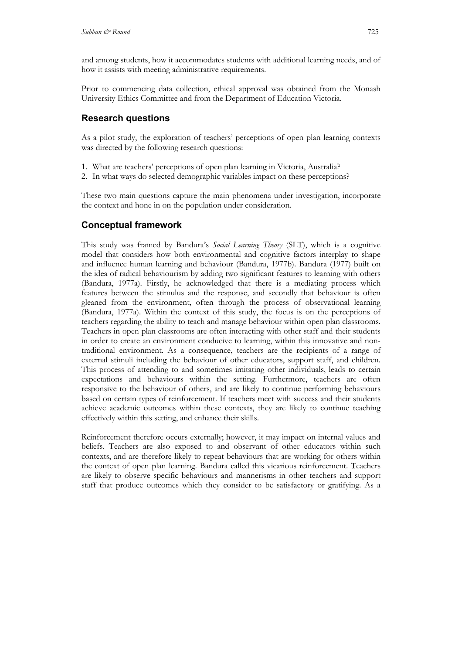and among students, how it accommodates students with additional learning needs, and of how it assists with meeting administrative requirements.

Prior to commencing data collection, ethical approval was obtained from the Monash University Ethics Committee and from the Department of Education Victoria.

## **Research questions**

As a pilot study, the exploration of teachers' perceptions of open plan learning contexts was directed by the following research questions:

- 1. What are teachers' perceptions of open plan learning in Victoria, Australia?
- 2. In what ways do selected demographic variables impact on these perceptions?

These two main questions capture the main phenomena under investigation, incorporate the context and hone in on the population under consideration.

## **Conceptual framework**

This study was framed by Bandura's *Social Learning Theory* (SLT), which is a cognitive model that considers how both environmental and cognitive factors interplay to shape and influence human learning and behaviour (Bandura, 1977b). Bandura (1977) built on the idea of radical behaviourism by adding two significant features to learning with others (Bandura, 1977a). Firstly, he acknowledged that there is a mediating process which features between the stimulus and the response, and secondly that behaviour is often gleaned from the environment, often through the process of observational learning (Bandura, 1977a). Within the context of this study, the focus is on the perceptions of teachers regarding the ability to teach and manage behaviour within open plan classrooms. Teachers in open plan classrooms are often interacting with other staff and their students in order to create an environment conducive to learning, within this innovative and nontraditional environment. As a consequence, teachers are the recipients of a range of external stimuli including the behaviour of other educators, support staff, and children. This process of attending to and sometimes imitating other individuals, leads to certain expectations and behaviours within the setting. Furthermore, teachers are often responsive to the behaviour of others, and are likely to continue performing behaviours based on certain types of reinforcement. If teachers meet with success and their students achieve academic outcomes within these contexts, they are likely to continue teaching effectively within this setting, and enhance their skills.

Reinforcement therefore occurs externally; however, it may impact on internal values and beliefs. Teachers are also exposed to and observant of other educators within such contexts, and are therefore likely to repeat behaviours that are working for others within the context of open plan learning. Bandura called this vicarious reinforcement. Teachers are likely to observe specific behaviours and mannerisms in other teachers and support staff that produce outcomes which they consider to be satisfactory or gratifying. As a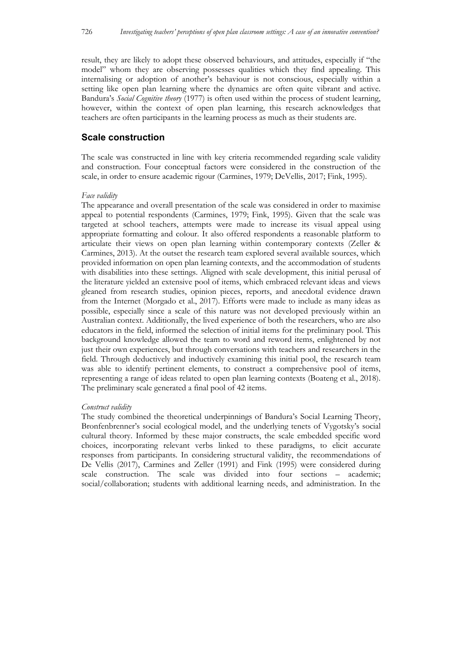result, they are likely to adopt these observed behaviours, and attitudes, especially if "the model" whom they are observing possesses qualities which they find appealing. This internalising or adoption of another's behaviour is not conscious, especially within a setting like open plan learning where the dynamics are often quite vibrant and active. Bandura's *Social Cognitive theory* (1977) is often used within the process of student learning, however, within the context of open plan learning, this research acknowledges that teachers are often participants in the learning process as much as their students are.

### **Scale construction**

The scale was constructed in line with key criteria recommended regarding scale validity and construction. Four conceptual factors were considered in the construction of the scale, in order to ensure academic rigour (Carmines, 1979; DeVellis, 2017; Fink, 1995).

#### *Face validity*

The appearance and overall presentation of the scale was considered in order to maximise appeal to potential respondents (Carmines, 1979; Fink, 1995). Given that the scale was targeted at school teachers, attempts were made to increase its visual appeal using appropriate formatting and colour. It also offered respondents a reasonable platform to articulate their views on open plan learning within contemporary contexts (Zeller & Carmines, 2013). At the outset the research team explored several available sources, which provided information on open plan learning contexts, and the accommodation of students with disabilities into these settings. Aligned with scale development, this initial perusal of the literature yielded an extensive pool of items, which embraced relevant ideas and views gleaned from research studies, opinion pieces, reports, and anecdotal evidence drawn from the Internet (Morgado et al., 2017). Efforts were made to include as many ideas as possible, especially since a scale of this nature was not developed previously within an Australian context. Additionally, the lived experience of both the researchers, who are also educators in the field, informed the selection of initial items for the preliminary pool. This background knowledge allowed the team to word and reword items, enlightened by not just their own experiences, but through conversations with teachers and researchers in the field. Through deductively and inductively examining this initial pool, the research team was able to identify pertinent elements, to construct a comprehensive pool of items, representing a range of ideas related to open plan learning contexts (Boateng et al., 2018). The preliminary scale generated a final pool of 42 items.

#### *Construct validity*

The study combined the theoretical underpinnings of Bandura's Social Learning Theory, Bronfenbrenner's social ecological model, and the underlying tenets of Vygotsky's social cultural theory. Informed by these major constructs, the scale embedded specific word choices, incorporating relevant verbs linked to these paradigms, to elicit accurate responses from participants. In considering structural validity, the recommendations of De Vellis (2017), Carmines and Zeller (1991) and Fink (1995) were considered during scale construction. The scale was divided into four sections – academic; social/collaboration; students with additional learning needs, and administration. In the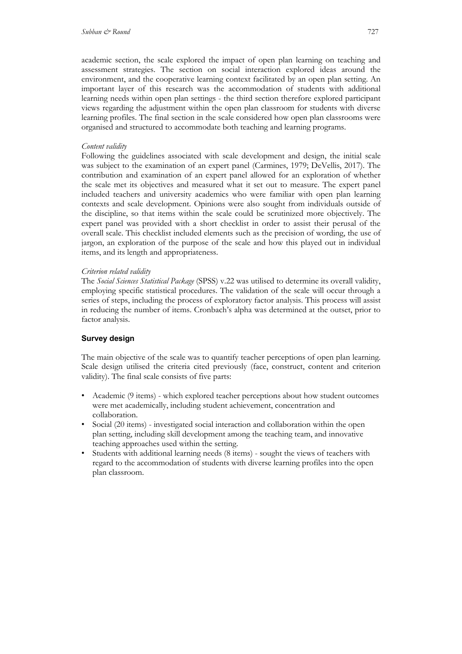academic section, the scale explored the impact of open plan learning on teaching and assessment strategies. The section on social interaction explored ideas around the environment, and the cooperative learning context facilitated by an open plan setting. An important layer of this research was the accommodation of students with additional learning needs within open plan settings - the third section therefore explored participant views regarding the adjustment within the open plan classroom for students with diverse learning profiles. The final section in the scale considered how open plan classrooms were organised and structured to accommodate both teaching and learning programs.

### *Content validity*

Following the guidelines associated with scale development and design, the initial scale was subject to the examination of an expert panel (Carmines, 1979; DeVellis, 2017). The contribution and examination of an expert panel allowed for an exploration of whether the scale met its objectives and measured what it set out to measure. The expert panel included teachers and university academics who were familiar with open plan learning contexts and scale development. Opinions were also sought from individuals outside of the discipline, so that items within the scale could be scrutinized more objectively. The expert panel was provided with a short checklist in order to assist their perusal of the overall scale. This checklist included elements such as the precision of wording, the use of jargon, an exploration of the purpose of the scale and how this played out in individual items, and its length and appropriateness.

### *Criterion related validity*

The *Social Sciences Statistical Package* (SPSS) v.22 was utilised to determine its overall validity, employing specific statistical procedures. The validation of the scale will occur through a series of steps, including the process of exploratory factor analysis. This process will assist in reducing the number of items. Cronbach's alpha was determined at the outset, prior to factor analysis.

### **Survey design**

The main objective of the scale was to quantify teacher perceptions of open plan learning. Scale design utilised the criteria cited previously (face, construct, content and criterion validity). The final scale consists of five parts:

- Academic (9 items) which explored teacher perceptions about how student outcomes were met academically, including student achievement, concentration and collaboration.
- Social (20 items) investigated social interaction and collaboration within the open plan setting, including skill development among the teaching team, and innovative teaching approaches used within the setting.
- Students with additional learning needs (8 items) sought the views of teachers with regard to the accommodation of students with diverse learning profiles into the open plan classroom.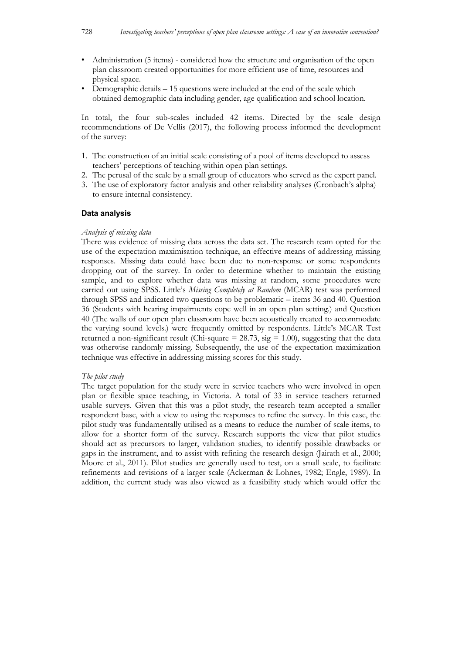- Administration (5 items) considered how the structure and organisation of the open plan classroom created opportunities for more efficient use of time, resources and physical space.
- Demographic details 15 questions were included at the end of the scale which obtained demographic data including gender, age qualification and school location.

In total, the four sub-scales included 42 items. Directed by the scale design recommendations of De Vellis (2017), the following process informed the development of the survey:

- 1. The construction of an initial scale consisting of a pool of items developed to assess teachers' perceptions of teaching within open plan settings.
- 2. The perusal of the scale by a small group of educators who served as the expert panel.
- 3. The use of exploratory factor analysis and other reliability analyses (Cronbach's alpha) to ensure internal consistency.

#### **Data analysis**

#### *Analysis of missing data*

There was evidence of missing data across the data set. The research team opted for the use of the expectation maximisation technique, an effective means of addressing missing responses. Missing data could have been due to non-response or some respondents dropping out of the survey. In order to determine whether to maintain the existing sample, and to explore whether data was missing at random, some procedures were carried out using SPSS. Little's *Missing Completely at Random* (MCAR) test was performed through SPSS and indicated two questions to be problematic – items 36 and 40. Question 36 (Students with hearing impairments cope well in an open plan setting.) and Question 40 (The walls of our open plan classroom have been acoustically treated to accommodate the varying sound levels.) were frequently omitted by respondents. Little's MCAR Test returned a non-significant result (Chi-square  $= 28.73$ , sig  $= 1.00$ ), suggesting that the data was otherwise randomly missing. Subsequently, the use of the expectation maximization technique was effective in addressing missing scores for this study.

#### *The pilot study*

The target population for the study were in service teachers who were involved in open plan or flexible space teaching, in Victoria. A total of 33 in service teachers returned usable surveys. Given that this was a pilot study, the research team accepted a smaller respondent base, with a view to using the responses to refine the survey. In this case, the pilot study was fundamentally utilised as a means to reduce the number of scale items, to allow for a shorter form of the survey. Research supports the view that pilot studies should act as precursors to larger, validation studies, to identify possible drawbacks or gaps in the instrument, and to assist with refining the research design (Jairath et al., 2000; Moore et al., 2011). Pilot studies are generally used to test, on a small scale, to facilitate refinements and revisions of a larger scale (Ackerman & Lohnes, 1982; Engle, 1989). In addition, the current study was also viewed as a feasibility study which would offer the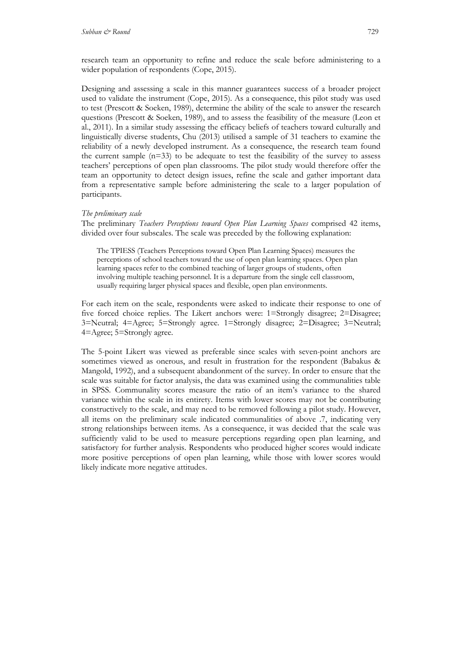research team an opportunity to refine and reduce the scale before administering to a wider population of respondents (Cope, 2015).

Designing and assessing a scale in this manner guarantees success of a broader project used to validate the instrument (Cope, 2015). As a consequence, this pilot study was used to test (Prescott & Soeken, 1989), determine the ability of the scale to answer the research questions (Prescott & Soeken, 1989), and to assess the feasibility of the measure (Leon et al., 2011). In a similar study assessing the efficacy beliefs of teachers toward culturally and linguistically diverse students, Chu (2013) utilised a sample of 31 teachers to examine the reliability of a newly developed instrument. As a consequence, the research team found the current sample  $(n=33)$  to be adequate to test the feasibility of the survey to assess teachers' perceptions of open plan classrooms. The pilot study would therefore offer the team an opportunity to detect design issues, refine the scale and gather important data from a representative sample before administering the scale to a larger population of participants.

#### *The preliminary scale*

The preliminary *Teachers Perceptions toward Open Plan Learning Spaces* comprised 42 items, divided over four subscales. The scale was preceded by the following explanation:

The TPIESS (Teachers Perceptions toward Open Plan Learning Spaces) measures the perceptions of school teachers toward the use of open plan learning spaces. Open plan learning spaces refer to the combined teaching of larger groups of students, often involving multiple teaching personnel. It is a departure from the single cell classroom, usually requiring larger physical spaces and flexible, open plan environments.

For each item on the scale, respondents were asked to indicate their response to one of five forced choice replies. The Likert anchors were: 1=Strongly disagree; 2=Disagree; 3=Neutral; 4=Agree; 5=Strongly agree. 1=Strongly disagree; 2=Disagree; 3=Neutral; 4=Agree; 5=Strongly agree.

The 5-point Likert was viewed as preferable since scales with seven-point anchors are sometimes viewed as onerous, and result in frustration for the respondent (Babakus & Mangold, 1992), and a subsequent abandonment of the survey. In order to ensure that the scale was suitable for factor analysis, the data was examined using the communalities table in SPSS. Communality scores measure the ratio of an item's variance to the shared variance within the scale in its entirety. Items with lower scores may not be contributing constructively to the scale, and may need to be removed following a pilot study. However, all items on the preliminary scale indicated communalities of above .7, indicating very strong relationships between items. As a consequence, it was decided that the scale was sufficiently valid to be used to measure perceptions regarding open plan learning, and satisfactory for further analysis. Respondents who produced higher scores would indicate more positive perceptions of open plan learning, while those with lower scores would likely indicate more negative attitudes.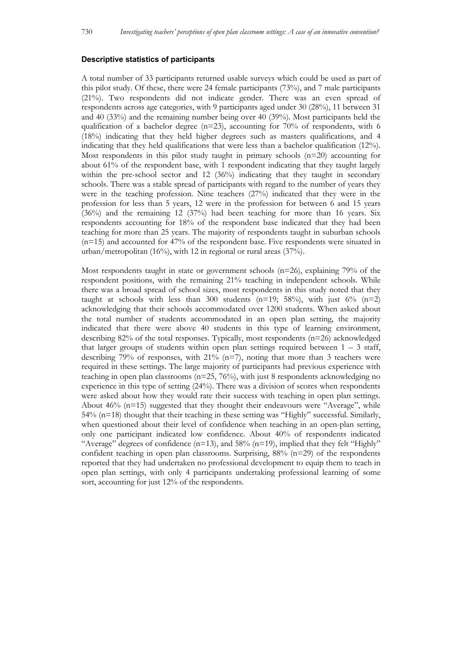#### **Descriptive statistics of participants**

A total number of 33 participants returned usable surveys which could be used as part of this pilot study. Of these, there were 24 female participants (73%), and 7 male participants (21%). Two respondents did not indicate gender. There was an even spread of respondents across age categories, with 9 participants aged under 30 (28%), 11 between 31 and 40 (33%) and the remaining number being over 40 (39%). Most participants held the qualification of a bachelor degree ( $n=23$ ), accounting for 70% of respondents, with 6 (18%) indicating that they held higher degrees such as masters qualifications, and 4 indicating that they held qualifications that were less than a bachelor qualification (12%). Most respondents in this pilot study taught in primary schools  $(n=20)$  accounting for about 61% of the respondent base, with 1 respondent indicating that they taught largely within the pre-school sector and 12 (36%) indicating that they taught in secondary schools. There was a stable spread of participants with regard to the number of years they were in the teaching profession. Nine teachers (27%) indicated that they were in the profession for less than 5 years, 12 were in the profession for between 6 and 15 years  $(36%)$  and the remaining 12  $(37%)$  had been teaching for more than 16 years. Six respondents accounting for 18% of the respondent base indicated that they had been teaching for more than 25 years. The majority of respondents taught in suburban schools (n=15) and accounted for 47% of the respondent base. Five respondents were situated in urban/metropolitan (16%), with 12 in regional or rural areas (37%).

Most respondents taught in state or government schools (n=26), explaining 79% of the respondent positions, with the remaining 21% teaching in independent schools. While there was a broad spread of school sizes, most respondents in this study noted that they taught at schools with less than 300 students ( $n=19$ ; 58%), with just 6% ( $n=2$ ) acknowledging that their schools accommodated over 1200 students. When asked about the total number of students accommodated in an open plan setting, the majority indicated that there were above 40 students in this type of learning environment, describing  $82\%$  of the total responses. Typically, most respondents  $(n=26)$  acknowledged that larger groups of students within open plan settings required between  $1 - 3$  staff, describing 79% of responses, with  $21\%$  (n=7), noting that more than 3 teachers were required in these settings. The large majority of participants had previous experience with teaching in open plan classrooms  $(n=25, 76%)$ , with just 8 respondents acknowledging no experience in this type of setting (24%). There was a division of scores when respondents were asked about how they would rate their success with teaching in open plan settings. About  $46\%$  (n=15) suggested that they thought their endeavours were "Average", while 54% (n=18) thought that their teaching in these setting was "Highly" successful. Similarly, when questioned about their level of confidence when teaching in an open-plan setting, only one participant indicated low confidence. About 40% of respondents indicated "Average" degrees of confidence  $(n=13)$ , and 58%  $(n=19)$ , implied that they felt "Highly" confident teaching in open plan classrooms. Surprising,  $88\%$  ( $n=29$ ) of the respondents reported that they had undertaken no professional development to equip them to teach in open plan settings, with only 4 participants undertaking professional learning of some sort, accounting for just 12% of the respondents.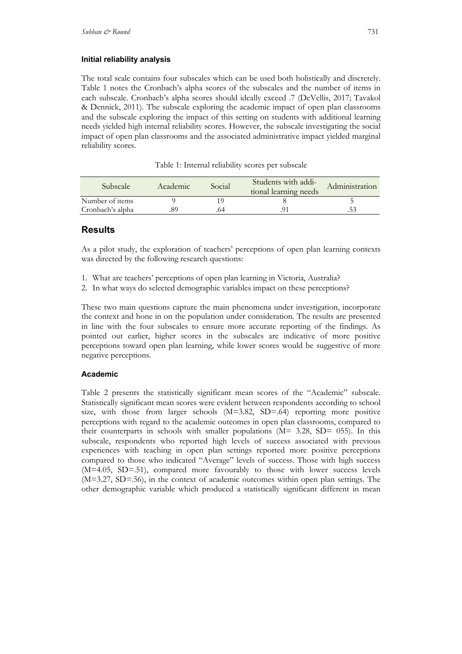#### **Initial reliability analysis**

The total scale contains four subscales which can be used both holistically and discretely. Table 1 notes the Cronbach's alpha scores of the subscales and the number of items in each subscale. Cronbach's alpha scores should ideally exceed .7 (DeVellis, 2017; Tavakol & Dennick, 2011). The subscale exploring the academic impact of open plan classrooms and the subscale exploring the impact of this setting on students with additional learning needs yielded high internal reliability scores. However, the subscale investigating the social impact of open plan classrooms and the associated administrative impact yielded marginal reliability scores.

| <b>Subscale</b>  | Academic | Social | Students with addi-<br>tional learning needs | Administration |
|------------------|----------|--------|----------------------------------------------|----------------|
| Number of items  |          |        |                                              |                |
| Cronbach's alpha |          |        |                                              |                |

Table 1: Internal reliability scores per subscale

## **Results**

As a pilot study, the exploration of teachers' perceptions of open plan learning contexts was directed by the following research questions:

- 1. What are teachers' perceptions of open plan learning in Victoria, Australia?
- 2. In what ways do selected demographic variables impact on these perceptions?

These two main questions capture the main phenomena under investigation, incorporate the context and hone in on the population under consideration. The results are presented in line with the four subscales to ensure more accurate reporting of the findings. As pointed out earlier, higher scores in the subscales are indicative of more positive perceptions toward open plan learning, while lower scores would be suggestive of more negative perceptions.

### **Academic**

Table 2 presents the statistically significant mean scores of the "Academic" subscale. Statistically significant mean scores were evident between respondents according to school size, with those from larger schools  $(M=3.82, SD=0.64)$  reporting more positive perceptions with regard to the academic outcomes in open plan classrooms, compared to their counterparts in schools with smaller populations  $(M= 3.28, SD= 055)$ . In this subscale, respondents who reported high levels of success associated with previous experiences with teaching in open plan settings reported more positive perceptions compared to those who indicated "Average" levels of success. Those with high success (M=4.05, SD=.51), compared more favourably to those with lower success levels (M=3.27, SD=.56), in the context of academic outcomes within open plan settings. The other demographic variable which produced a statistically significant different in mean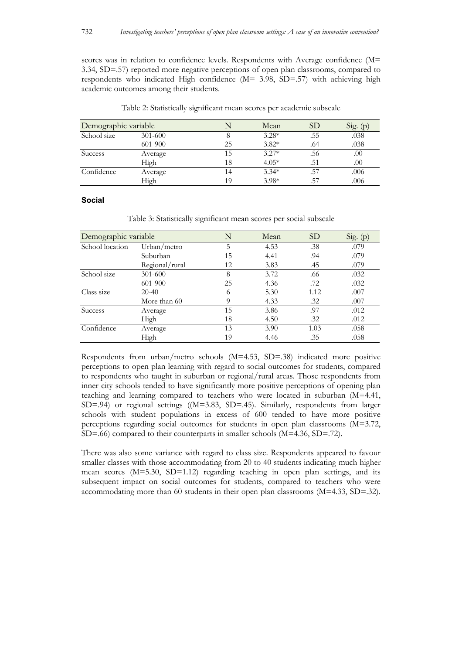scores was in relation to confidence levels. Respondents with Average confidence (M= 3.34, SD=.57) reported more negative perceptions of open plan classrooms, compared to respondents who indicated High confidence (M= 3.98, SD=.57) with achieving high academic outcomes among their students.

| Demographic variable |             |    | Mean    | SD <sub>3</sub> | Sig. $(p)$ |
|----------------------|-------------|----|---------|-----------------|------------|
| School size          | $301 - 600$ |    | $3.28*$ | .55             | .038       |
|                      | 601-900     | 25 | $3.82*$ | .64             | .038       |
| Success              | Average     |    | $3.27*$ | .56             | .00        |
|                      | High        | 18 | $4.05*$ | .51             | .00        |
| Confidence           | Average     | 14 | $3.34*$ | .57             | .006       |
|                      | High        | 19 | $3.98*$ | $.5^{\circ}$    | .006       |

Table 2: Statistically significant mean scores per academic subscale

#### **Social**

Table 3: Statistically significant mean scores per social subscale

| Demographic variable |                | N  | Mean | <b>SD</b> | Sig. (p) |
|----------------------|----------------|----|------|-----------|----------|
| School location      | Urban/metro    | 5  | 4.53 | .38       | .079     |
|                      | Suburban       | 15 | 4.41 | .94       | .079     |
|                      | Regional/rural | 12 | 3.83 | .45       | .079     |
| School size          | $301 - 600$    | 8  | 3.72 | .66       | .032     |
|                      | 601-900        | 25 | 4.36 | .72       | .032     |
| Class size           | $20-40$        | 6  | 5.30 | 1.12      | .007     |
|                      | More than 60   | Q  | 4.33 | .32       | .007     |
| <b>Success</b>       | Average        | 15 | 3.86 | .97       | .012     |
|                      | High           | 18 | 4.50 | .32       | .012     |
| Confidence           | Average        | 13 | 3.90 | 1.03      | .058     |
|                      | High           | 19 | 4.46 | .35       | .058     |

Respondents from urban/metro schools (M=4.53, SD=.38) indicated more positive perceptions to open plan learning with regard to social outcomes for students, compared to respondents who taught in suburban or regional/rural areas. Those respondents from inner city schools tended to have significantly more positive perceptions of opening plan teaching and learning compared to teachers who were located in suburban (M=4.41, SD=.94) or regional settings ((M=3.83, SD=.45). Similarly, respondents from larger schools with student populations in excess of 600 tended to have more positive perceptions regarding social outcomes for students in open plan classrooms (M=3.72, SD=.66) compared to their counterparts in smaller schools (M=4.36, SD=.72).

There was also some variance with regard to class size. Respondents appeared to favour smaller classes with those accommodating from 20 to 40 students indicating much higher mean scores (M=5.30, SD=1.12) regarding teaching in open plan settings, and its subsequent impact on social outcomes for students, compared to teachers who were accommodating more than 60 students in their open plan classrooms (M=4.33, SD=.32).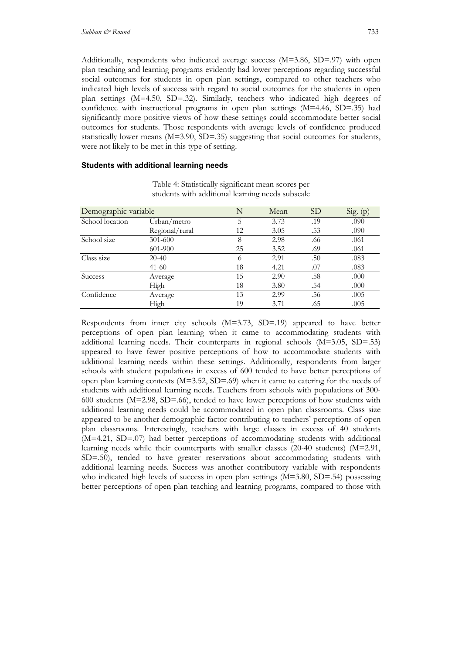Additionally, respondents who indicated average success (M=3.86, SD=.97) with open plan teaching and learning programs evidently had lower perceptions regarding successful social outcomes for students in open plan settings, compared to other teachers who indicated high levels of success with regard to social outcomes for the students in open plan settings (M=4.50, SD=.32). Similarly, teachers who indicated high degrees of confidence with instructional programs in open plan settings (M=4.46, SD=.35) had significantly more positive views of how these settings could accommodate better social outcomes for students. Those respondents with average levels of confidence produced statistically lower means  $(M=3.90, SD=0.35)$  suggesting that social outcomes for students, were not likely to be met in this type of setting.

#### **Students with additional learning needs**

| Demographic variable | N              | Mean | <b>SD</b> | Sig. (p) |      |
|----------------------|----------------|------|-----------|----------|------|
| School location      | Urban/metro    | 5    | 3.73      | .19      | .090 |
|                      | Regional/rural | 12   | 3.05      | .53      | .090 |
| School size          | 301-600        | 8    | 2.98      | .66      | .061 |
|                      | 601-900        | 25   | 3.52      | .69      | .061 |
| Class size           | $20-40$        | 6    | 2.91      | .50      | .083 |
|                      | $41 - 60$      | 18   | 4.21      | .07      | .083 |
| Success              | Average        | 15   | 2.90      | .58      | .000 |
|                      | High           | 18   | 3.80      | .54      | .000 |
| Confidence           | Average        | 13   | 2.99      | .56      | .005 |
|                      | High           | 19   | 3.71      | .65      | .005 |

Table 4: Statistically significant mean scores per students with additional learning needs subscale

Respondents from inner city schools  $(M=3.73, SD=.19)$  appeared to have better perceptions of open plan learning when it came to accommodating students with additional learning needs. Their counterparts in regional schools (M=3.05, SD=.53) appeared to have fewer positive perceptions of how to accommodate students with additional learning needs within these settings. Additionally, respondents from larger schools with student populations in excess of 600 tended to have better perceptions of open plan learning contexts  $(M=3.52, SD=0.69)$  when it came to catering for the needs of students with additional learning needs. Teachers from schools with populations of 300- 600 students (M=2.98, SD=.66), tended to have lower perceptions of how students with additional learning needs could be accommodated in open plan classrooms. Class size appeared to be another demographic factor contributing to teachers' perceptions of open plan classrooms. Interestingly, teachers with large classes in excess of 40 students (M=4.21, SD=.07) had better perceptions of accommodating students with additional learning needs while their counterparts with smaller classes (20-40 students) (M=2.91, SD=.50), tended to have greater reservations about accommodating students with additional learning needs. Success was another contributory variable with respondents who indicated high levels of success in open plan settings  $(M=3.80, SD=0.54)$  possessing better perceptions of open plan teaching and learning programs, compared to those with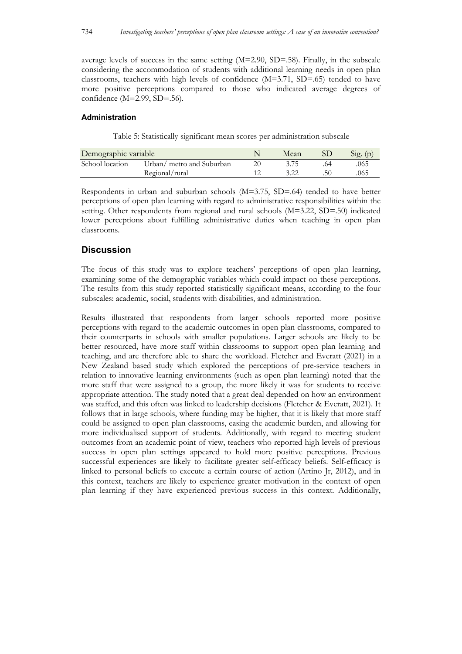average levels of success in the same setting (M=2.90, SD=.58). Finally, in the subscale considering the accommodation of students with additional learning needs in open plan classrooms, teachers with high levels of confidence (M=3.71, SD=.65) tended to have more positive perceptions compared to those who indicated average degrees of confidence (M=2.99, SD=.56).

#### **Administration**

Table 5: Statistically significant mean scores per administration subscale

| Demographic variable |                           | Mean | $S_1g$ . (p) |
|----------------------|---------------------------|------|--------------|
| School location      | Urban/ metro and Suburban |      | .065         |
|                      | Regional/rural            |      | 065          |

Respondents in urban and suburban schools (M=3.75, SD=.64) tended to have better perceptions of open plan learning with regard to administrative responsibilities within the setting. Other respondents from regional and rural schools (M=3.22, SD=.50) indicated lower perceptions about fulfilling administrative duties when teaching in open plan classrooms.

## **Discussion**

The focus of this study was to explore teachers' perceptions of open plan learning, examining some of the demographic variables which could impact on these perceptions. The results from this study reported statistically significant means, according to the four subscales: academic, social, students with disabilities, and administration.

Results illustrated that respondents from larger schools reported more positive perceptions with regard to the academic outcomes in open plan classrooms, compared to their counterparts in schools with smaller populations. Larger schools are likely to be better resourced, have more staff within classrooms to support open plan learning and teaching, and are therefore able to share the workload. Fletcher and Everatt (2021) in a New Zealand based study which explored the perceptions of pre-service teachers in relation to innovative learning environments (such as open plan learning) noted that the more staff that were assigned to a group, the more likely it was for students to receive appropriate attention. The study noted that a great deal depended on how an environment was staffed, and this often was linked to leadership decisions (Fletcher & Everatt, 2021). It follows that in large schools, where funding may be higher, that it is likely that more staff could be assigned to open plan classrooms, easing the academic burden, and allowing for more individualised support of students. Additionally, with regard to meeting student outcomes from an academic point of view, teachers who reported high levels of previous success in open plan settings appeared to hold more positive perceptions. Previous successful experiences are likely to facilitate greater self-efficacy beliefs. Self-efficacy is linked to personal beliefs to execute a certain course of action (Artino Jr, 2012), and in this context, teachers are likely to experience greater motivation in the context of open plan learning if they have experienced previous success in this context. Additionally,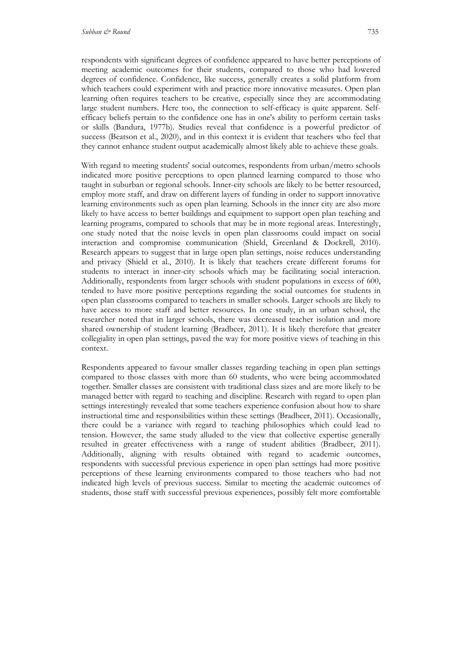respondents with significant degrees of confidence appeared to have better perceptions of meeting academic outcomes for their students, compared to those who had lowered degrees of confidence. Confidence, like success, generally creates a solid platform from which teachers could experiment with and practice more innovative measures. Open plan learning often requires teachers to be creative, especially since they are accommodating large student numbers. Here too, the connection to self-efficacy is quite apparent. Selfefficacy beliefs pertain to the confidence one has in one's ability to perform certain tasks

or skills (Bandura, 1977b). Studies reveal that confidence is a powerful predictor of success (Beatson et al., 2020), and in this context it is evident that teachers who feel that they cannot enhance student output academically almost likely able to achieve these goals.

With regard to meeting students' social outcomes, respondents from urban/metro schools indicated more positive perceptions to open planned learning compared to those who taught in suburban or regional schools. Inner-city schools are likely to be better resourced, employ more staff, and draw on different layers of funding in order to support innovative learning environments such as open plan learning. Schools in the inner city are also more likely to have access to better buildings and equipment to support open plan teaching and learning programs, compared to schools that may be in more regional areas. Interestingly, one study noted that the noise levels in open plan classrooms could impact on social interaction and compromise communication (Shield, Greenland & Dockrell, 2010). Research appears to suggest that in large open plan settings, noise reduces understanding and privacy (Shield et al., 2010). It is likely that teachers create different forums for students to interact in inner-city schools which may be facilitating social interaction. Additionally, respondents from larger schools with student populations in excess of 600, tended to have more positive perceptions regarding the social outcomes for students in open plan classrooms compared to teachers in smaller schools. Larger schools are likely to have access to more staff and better resources. In one study, in an urban school, the researcher noted that in larger schools, there was decreased teacher isolation and more shared ownership of student learning (Bradbeer, 2011). It is likely therefore that greater collegiality in open plan settings, paved the way for more positive views of teaching in this context.

Respondents appeared to favour smaller classes regarding teaching in open plan settings compared to those classes with more than 60 students, who were being accommodated together. Smaller classes are consistent with traditional class sizes and are more likely to be managed better with regard to teaching and discipline. Research with regard to open plan settings interestingly revealed that some teachers experience confusion about how to share instructional time and responsibilities within these settings (Bradbeer, 2011). Occasionally, there could be a variance with regard to teaching philosophies which could lead to tension. However, the same study alluded to the view that collective expertise generally resulted in greater effectiveness with a range of student abilities (Bradbeer, 2011). Additionally, aligning with results obtained with regard to academic outcomes, respondents with successful previous experience in open plan settings had more positive perceptions of these learning environments compared to those teachers who had not indicated high levels of previous success. Similar to meeting the academic outcomes of students, those staff with successful previous experiences, possibly felt more comfortable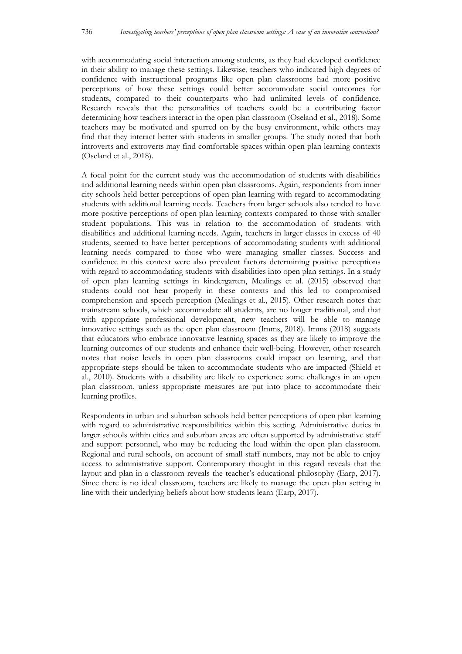with accommodating social interaction among students, as they had developed confidence in their ability to manage these settings. Likewise, teachers who indicated high degrees of confidence with instructional programs like open plan classrooms had more positive perceptions of how these settings could better accommodate social outcomes for students, compared to their counterparts who had unlimited levels of confidence. Research reveals that the personalities of teachers could be a contributing factor determining how teachers interact in the open plan classroom (Oseland et al., 2018). Some teachers may be motivated and spurred on by the busy environment, while others may find that they interact better with students in smaller groups. The study noted that both introverts and extroverts may find comfortable spaces within open plan learning contexts (Oseland et al., 2018).

A focal point for the current study was the accommodation of students with disabilities and additional learning needs within open plan classrooms. Again, respondents from inner city schools held better perceptions of open plan learning with regard to accommodating students with additional learning needs. Teachers from larger schools also tended to have more positive perceptions of open plan learning contexts compared to those with smaller student populations. This was in relation to the accommodation of students with disabilities and additional learning needs. Again, teachers in larger classes in excess of 40 students, seemed to have better perceptions of accommodating students with additional learning needs compared to those who were managing smaller classes. Success and confidence in this context were also prevalent factors determining positive perceptions with regard to accommodating students with disabilities into open plan settings. In a study of open plan learning settings in kindergarten, Mealings et al. (2015) observed that students could not hear properly in these contexts and this led to compromised comprehension and speech perception (Mealings et al., 2015). Other research notes that mainstream schools, which accommodate all students, are no longer traditional, and that with appropriate professional development, new teachers will be able to manage innovative settings such as the open plan classroom (Imms, 2018). Imms (2018) suggests that educators who embrace innovative learning spaces as they are likely to improve the learning outcomes of our students and enhance their well-being. However, other research notes that noise levels in open plan classrooms could impact on learning, and that appropriate steps should be taken to accommodate students who are impacted (Shield et al., 2010). Students with a disability are likely to experience some challenges in an open plan classroom, unless appropriate measures are put into place to accommodate their learning profiles.

Respondents in urban and suburban schools held better perceptions of open plan learning with regard to administrative responsibilities within this setting. Administrative duties in larger schools within cities and suburban areas are often supported by administrative staff and support personnel, who may be reducing the load within the open plan classroom. Regional and rural schools, on account of small staff numbers, may not be able to enjoy access to administrative support. Contemporary thought in this regard reveals that the layout and plan in a classroom reveals the teacher's educational philosophy (Earp, 2017). Since there is no ideal classroom, teachers are likely to manage the open plan setting in line with their underlying beliefs about how students learn (Earp, 2017).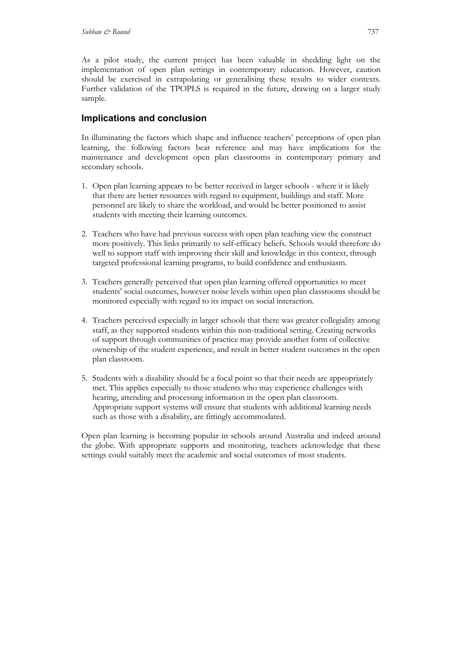As a pilot study, the current project has been valuable in shedding light on the implementation of open plan settings in contemporary education. However, caution should be exercised in extrapolating or generalising these results to wider contexts. Further validation of the TPOPLS is required in the future, drawing on a larger study sample.

## **Implications and conclusion**

In illuminating the factors which shape and influence teachers' perceptions of open plan learning, the following factors bear reference and may have implications for the maintenance and development open plan classrooms in contemporary primary and secondary schools.

- 1. Open plan learning appears to be better received in larger schools where it is likely that there are better resources with regard to equipment, buildings and staff. More personnel are likely to share the workload, and would be better positioned to assist students with meeting their learning outcomes.
- 2. Teachers who have had previous success with open plan teaching view the construct more positively. This links primarily to self-efficacy beliefs. Schools would therefore do well to support staff with improving their skill and knowledge in this context, through targeted professional learning programs, to build confidence and enthusiasm.
- 3. Teachers generally perceived that open plan learning offered opportunities to meet students' social outcomes, however noise levels within open plan classrooms should be monitored especially with regard to its impact on social interaction.
- 4. Teachers perceived especially in larger schools that there was greater collegiality among staff, as they supported students within this non-traditional setting. Creating networks of support through communities of practice may provide another form of collective ownership of the student experience, and result in better student outcomes in the open plan classroom.
- 5. Students with a disability should be a focal point so that their needs are appropriately met. This applies especially to those students who may experience challenges with hearing, attending and processing information in the open plan classroom. Appropriate support systems will ensure that students with additional learning needs such as those with a disability, are fittingly accommodated.

Open plan learning is becoming popular in schools around Australia and indeed around the globe. With appropriate supports and monitoring, teachers acknowledge that these settings could suitably meet the academic and social outcomes of most students.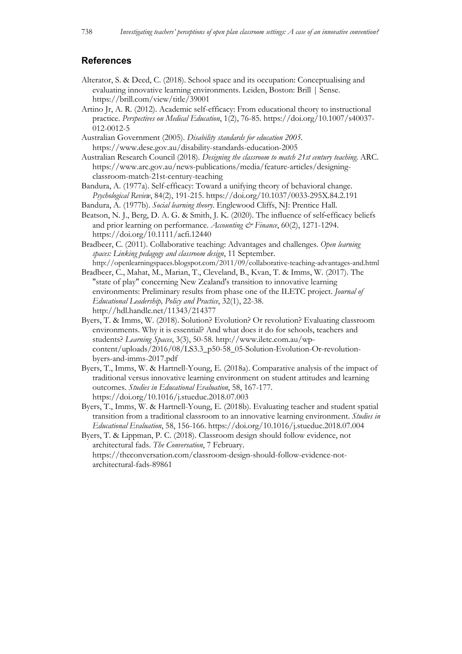### **References**

- Alterator, S. & Deed, C. (2018). School space and its occupation: Conceptualising and evaluating innovative learning environments. Leiden, Boston: Brill | Sense. https://brill.com/view/title/39001
- Artino Jr, A. R. (2012). Academic self-efficacy: From educational theory to instructional practice. *Perspectives on Medical Education*, 1(2), 76-85. https://doi.org/10.1007/s40037- 012-0012-5
- Australian Government (2005). *Disability standards for education 2005*. https://www.dese.gov.au/disability-standards-education-2005
- Australian Research Council (2018). *Designing the classroom to match 21st century teaching*. ARC. https://www.arc.gov.au/news-publications/media/feature-articles/designingclassroom-match-21st-century-teaching
- Bandura, A. (1977a). Self-efficacy: Toward a unifying theory of behavioral change. *Psychological Review*, 84(2), 191-215. https://doi.org/10.1037/0033-295X.84.2.191
- Bandura, A. (1977b). *Social learning theory*. Englewood Cliffs, NJ: Prentice Hall.
- Beatson, N. J., Berg, D. A. G. & Smith, J. K. (2020). The influence of self-efficacy beliefs and prior learning on performance. *Accounting & Finance*, 60(2), 1271-1294. https://doi.org/10.1111/acfi.12440
- Bradbeer, C. (2011). Collaborative teaching: Advantages and challenges. *Open learning spaces: Linking pedagogy and classroom design*, 11 September. http://openlearningspaces.blogspot.com/2011/09/collaborative-teaching-advantages-and.html
- Bradbeer, C., Mahat, M., Marian, T., Cleveland, B., Kvan, T. & Imms, W. (2017). The "state of play" concerning New Zealand's transition to innovative learning environments: Preliminary results from phase one of the ILETC project. *Journal of Educational Leadership, Policy and Practice*, 32(1), 22-38. http://hdl.handle.net/11343/214377
- Byers, T. & Imms, W. (2018). Solution? Evolution? Or revolution? Evaluating classroom environments. Why it is essential? And what does it do for schools, teachers and students? *Learning Spaces*, 3(3), 50-58. http://www.iletc.com.au/wpcontent/uploads/2016/08/LS3.3\_p50-58\_05-Solution-Evolution-Or-revolutionbyers-and-imms-2017.pdf
- Byers, T., Imms, W. & Hartnell-Young, E. (2018a). Comparative analysis of the impact of traditional versus innovative learning environment on student attitudes and learning outcomes. *Studies in Educational Evaluation*, 58, 167-177. https://doi.org/10.1016/j.stueduc.2018.07.003
- Byers, T., Imms, W. & Hartnell-Young, E. (2018b). Evaluating teacher and student spatial transition from a traditional classroom to an innovative learning environment. *Studies in Educational Evaluation*, 58, 156-166. https://doi.org/10.1016/j.stueduc.2018.07.004
- Byers, T. & Lippman, P. C. (2018). Classroom design should follow evidence, not architectural fads. *The Conversation*, 7 February. https://theconversation.com/classroom-design-should-follow-evidence-notarchitectural-fads-89861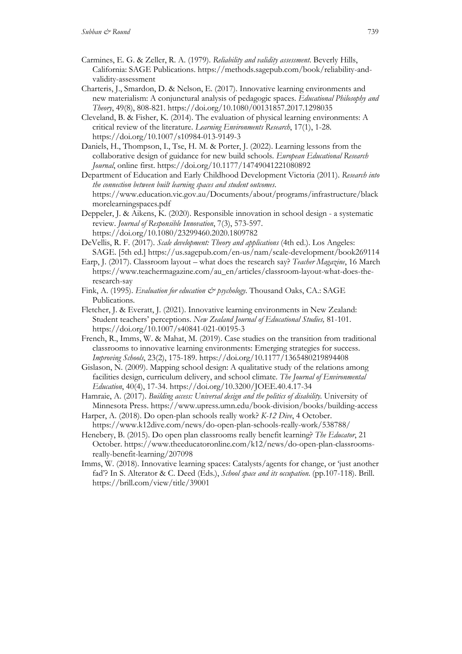- Carmines, E. G. & Zeller, R. A. (1979). *Reliability and validity assessment*. Beverly Hills, California: SAGE Publications. https://methods.sagepub.com/book/reliability-andvalidity-assessment
- Charteris, J., Smardon, D. & Nelson, E. (2017). Innovative learning environments and new materialism: A conjunctural analysis of pedagogic spaces. *Educational Philosophy and Theory*, 49(8), 808-821. https://doi.org/10.1080/00131857.2017.1298035
- Cleveland, B. & Fisher, K. (2014). The evaluation of physical learning environments: A critical review of the literature. *Learning Environments Research*, 17(1), 1-28. https://doi.org/10.1007/s10984-013-9149-3
- Daniels, H., Thompson, I., Tse, H. M. & Porter, J. (2022). Learning lessons from the collaborative design of guidance for new build schools. *European Educational Research Journal*, online first. https://doi.org/10.1177/14749041221080892
- Department of Education and Early Childhood Development Victoria (2011). *Research into the connection between built learning spaces and student outcomes*. https://www.education.vic.gov.au/Documents/about/programs/infrastructure/black morelearningspaces.pdf
- Deppeler, J. & Aikens, K. (2020). Responsible innovation in school design a systematic review. *Journal of Responsible Innovation*, 7(3), 573-597. https://doi.org/10.1080/23299460.2020.1809782
- DeVellis, R. F. (2017). *Scale development: Theory and applications* (4th ed.). Los Angeles: SAGE. [5th ed.] https://us.sagepub.com/en-us/nam/scale-development/book269114
- Earp, J. (2017). Classroom layout what does the research say? *Teacher Magazine*, 16 March https://www.teachermagazine.com/au\_en/articles/classroom-layout-what-does-theresearch-say
- Fink, A. (1995). *Evaluation for education*  $\mathcal O$  *psychology*. Thousand Oaks, CA.: SAGE Publications.
- Fletcher, J. & Everatt, J. (2021). Innovative learning environments in New Zealand: Student teachers' perceptions. *New Zealand Journal of Educational Studies,* 81-101. https://doi.org/10.1007/s40841-021-00195-3
- French, R., Imms, W. & Mahat, M. (2019). Case studies on the transition from traditional classrooms to innovative learning environments: Emerging strategies for success. *Improving Schools*, 23(2), 175-189. https://doi.org/10.1177/1365480219894408
- Gislason, N. (2009). Mapping school design: A qualitative study of the relations among facilities design, curriculum delivery, and school climate. *The Journal of Environmental Education*, 40(4), 17-34. https://doi.org/10.3200/JOEE.40.4.17-34
- Hamraie, A. (2017). *Building access: Universal design and the politics of disability*. University of Minnesota Press. https://www.upress.umn.edu/book-division/books/building-access
- Harper, A. (2018). Do open-plan schools really work? *K-12 Dive*, 4 October. https://www.k12dive.com/news/do-open-plan-schools-really-work/538788/
- Henebery, B. (2015). Do open plan classrooms really benefit learning? *The Educator*, 21 October. https://www.theeducatoronline.com/k12/news/do-open-plan-classroomsreally-benefit-learning/207098
- Imms, W. (2018). Innovative learning spaces: Catalysts/agents for change, or 'just another fad'? In S. Alterator & C. Deed (Eds.), *School space and its occupation*. (pp.107-118). Brill. https://brill.com/view/title/39001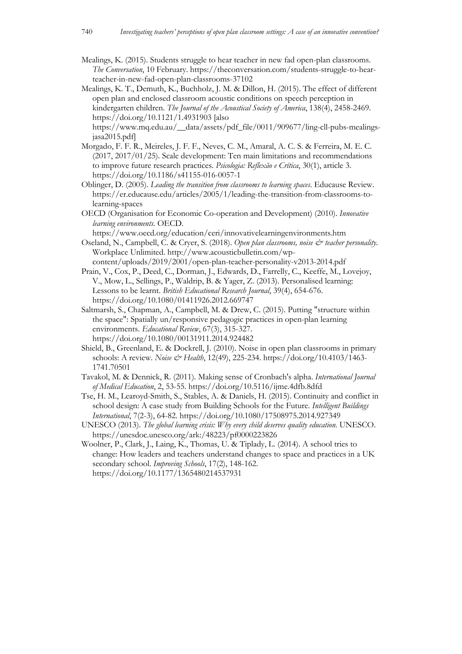- Mealings, K. (2015). Students struggle to hear teacher in new fad open-plan classrooms. *The Conversation*, 10 February. https://theconversation.com/students-struggle-to-hearteacher-in-new-fad-open-plan-classrooms-37102
- Mealings, K. T., Demuth, K., Buchholz, J. M. & Dillon, H. (2015). The effect of different open plan and enclosed classroom acoustic conditions on speech perception in kindergarten children. *The Journal of the Acoustical Society of America*, 138(4), 2458-2469. https://doi.org/10.1121/1.4931903 [also

https://www.mq.edu.au/\_\_data/assets/pdf\_file/0011/909677/ling-cll-pubs-mealingsjasa2015.pdf]

- Morgado, F. F. R., Meireles, J. F. F., Neves, C. M., Amaral, A. C. S. & Ferreira, M. E. C. (2017, 2017/01/25). Scale development: Ten main limitations and recommendations to improve future research practices. *Psicologia: Reflexão e Crítica*, 30(1), article 3. https://doi.org/10.1186/s41155-016-0057-1
- Oblinger, D. (2005). *Leading the transition from classrooms to learning spaces*. Educause Review. https://er.educause.edu/articles/2005/1/leading-the-transition-from-classrooms-tolearning-spaces
- OECD (Organisation for Economic Co-operation and Development) (2010). *Innovative learning environments.* OECD.

https://www.oecd.org/education/ceri/innovativelearningenvironments.htm Oseland, N., Campbell, C. & Cryer, S. (2018). *Open plan classrooms, noise & teacher personality*.

Workplace Unlimited. http://www.acousticbulletin.com/wpcontent/uploads/2019/2001/open-plan-teacher-personality-v2013-2014.pdf

- Prain, V., Cox, P., Deed, C., Dorman, J., Edwards, D., Farrelly, C., Keeffe, M., Lovejoy, V., Mow, L., Sellings, P., Waldrip, B. & Yager, Z. (2013). Personalised learning: Lessons to be learnt. *British Educational Research Journal*, 39(4), 654-676. https://doi.org/10.1080/01411926.2012.669747
- Saltmarsh, S., Chapman, A., Campbell, M. & Drew, C. (2015). Putting "structure within the space": Spatially un/responsive pedagogic practices in open-plan learning environments. *Educational Review*, 67(3), 315-327. https://doi.org/10.1080/00131911.2014.924482
- Shield, B., Greenland, E. & Dockrell, J. (2010). Noise in open plan classrooms in primary schools: A review. *Noise & Health*, 12(49), 225-234. https://doi.org/10.4103/1463- 1741.70501
- Tavakol, M. & Dennick, R. (2011). Making sense of Cronbach's alpha. *International Journal of Medical Education*, 2, 53-55. https://doi.org/10.5116/ijme.4dfb.8dfd
- Tse, H. M., Learoyd-Smith, S., Stables, A. & Daniels, H. (2015). Continuity and conflict in school design: A case study from Building Schools for the Future. *Intelligent Buildings International*, 7(2-3), 64-82. https://doi.org/10.1080/17508975.2014.927349
- UNESCO (2013). *The global learning crisis: Why every child deserves quality education*. UNESCO. https://unesdoc.unesco.org/ark:/48223/pf0000223826
- Woolner, P., Clark, J., Laing, K., Thomas, U. & Tiplady, L. (2014). A school tries to change: How leaders and teachers understand changes to space and practices in a UK secondary school. *Improving Schools*, 17(2), 148-162. https://doi.org/10.1177/1365480214537931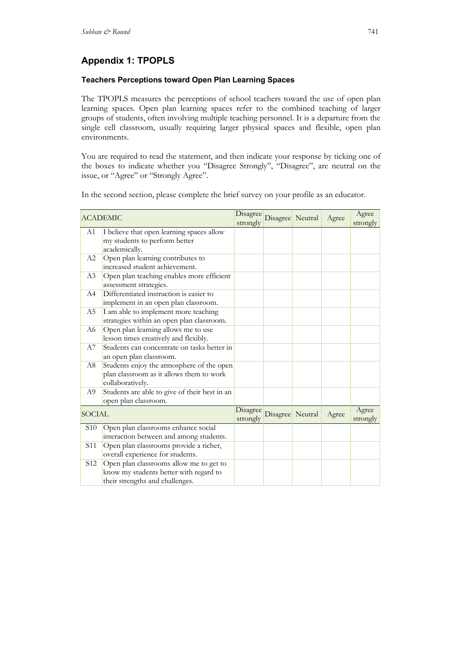# **Appendix 1: TPOPLS**

## **Teachers Perceptions toward Open Plan Learning Spaces**

The TPOPLS measures the perceptions of school teachers toward the use of open plan learning spaces. Open plan learning spaces refer to the combined teaching of larger groups of students, often involving multiple teaching personnel. It is a departure from the single cell classroom, usually requiring larger physical spaces and flexible, open plan environments.

You are required to read the statement, and then indicate your response by ticking one of the boxes to indicate whether you "Disagree Strongly", "Disagree", are neutral on the issue, or "Agree" or "Strongly Agree".

In the second section, please complete the brief survey on your profile as an educator.

| <b>ACADEMIC</b> |                                                                                                                      | strongly             | Disagree Disagree Neutral | Agree | Agree<br>strongly |
|-----------------|----------------------------------------------------------------------------------------------------------------------|----------------------|---------------------------|-------|-------------------|
| A1              | I believe that open learning spaces allow<br>my students to perform better<br>academically.                          |                      |                           |       |                   |
| A2              | Open plan learning contributes to<br>increased student achievement.                                                  |                      |                           |       |                   |
| A3              | Open plan teaching enables more efficient<br>assessment strategies.                                                  |                      |                           |       |                   |
| A4              | Differentiated instruction is easier to<br>implement in an open plan classroom.                                      |                      |                           |       |                   |
| A5              | I am able to implement more teaching<br>strategies within an open plan classroom.                                    |                      |                           |       |                   |
| A6              | Open plan learning allows me to use<br>lesson times creatively and flexibly.                                         |                      |                           |       |                   |
| A7              | Students can concentrate on tasks better in<br>an open plan classroom.                                               |                      |                           |       |                   |
| A8              | Students enjoy the atmosphere of the open<br>plan classroom as it allows them to work<br>collaboratively.            |                      |                           |       |                   |
| A9              | Students are able to give of their best in an<br>open plan classroom.                                                |                      |                           |       |                   |
| <b>SOCIAL</b>   |                                                                                                                      | Disagree<br>strongly | Disagree Neutral          | Agree | Agree<br>strongly |
| S <sub>10</sub> | Open plan classrooms enhance social<br>interaction between and among students.                                       |                      |                           |       |                   |
| S <sub>11</sub> | Open plan classrooms provide a richer,<br>overall experience for students.                                           |                      |                           |       |                   |
| S <sub>12</sub> | Open plan classrooms allow me to get to<br>know my students better with regard to<br>their strengths and challenges. |                      |                           |       |                   |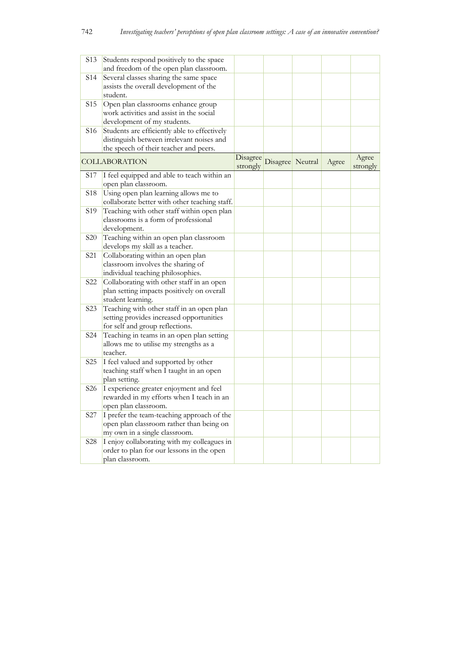| S <sub>1</sub> 3 | Students respond positively to the space      |          |                  |       |          |
|------------------|-----------------------------------------------|----------|------------------|-------|----------|
|                  | and freedom of the open plan classroom.       |          |                  |       |          |
| S14              | Several classes sharing the same space        |          |                  |       |          |
|                  | assists the overall development of the        |          |                  |       |          |
|                  | student.                                      |          |                  |       |          |
| S <sub>15</sub>  | Open plan classrooms enhance group            |          |                  |       |          |
|                  | work activities and assist in the social      |          |                  |       |          |
|                  | development of my students.                   |          |                  |       |          |
| S <sub>16</sub>  | Students are efficiently able to effectively  |          |                  |       |          |
|                  | distinguish between irrelevant noises and     |          |                  |       |          |
|                  | the speech of their teacher and peers.        |          |                  |       |          |
|                  | <b>COLLABORATION</b>                          | Disagree | Disagree Neutral | Agree | Agree    |
|                  |                                               | strongly |                  |       | strongly |
| S <sub>17</sub>  | I feel equipped and able to teach within an   |          |                  |       |          |
|                  | open plan classroom.                          |          |                  |       |          |
| S <sub>18</sub>  | Using open plan learning allows me to         |          |                  |       |          |
|                  | collaborate better with other teaching staff. |          |                  |       |          |
| S <sub>19</sub>  | Teaching with other staff within open plan    |          |                  |       |          |
|                  | classrooms is a form of professional          |          |                  |       |          |
|                  | development.                                  |          |                  |       |          |
| <b>S20</b>       | Teaching within an open plan classroom        |          |                  |       |          |
|                  | develops my skill as a teacher.               |          |                  |       |          |
| S <sub>21</sub>  | Collaborating within an open plan             |          |                  |       |          |
|                  | classroom involves the sharing of             |          |                  |       |          |
|                  | individual teaching philosophies.             |          |                  |       |          |
| S <sub>22</sub>  | Collaborating with other staff in an open     |          |                  |       |          |
|                  | plan setting impacts positively on overall    |          |                  |       |          |
|                  | student learning.                             |          |                  |       |          |
| S <sub>2</sub> 3 | Teaching with other staff in an open plan     |          |                  |       |          |
|                  | setting provides increased opportunities      |          |                  |       |          |
|                  | for self and group reflections.               |          |                  |       |          |
| S24              | Teaching in teams in an open plan setting     |          |                  |       |          |
|                  | allows me to utilise my strengths as a        |          |                  |       |          |
|                  | teacher.                                      |          |                  |       |          |
| S <sub>25</sub>  | I feel valued and supported by other          |          |                  |       |          |
|                  | teaching staff when I taught in an open       |          |                  |       |          |
|                  | plan setting.                                 |          |                  |       |          |
| S <sub>26</sub>  | I experience greater enjoyment and feel       |          |                  |       |          |
|                  | rewarded in my efforts when I teach in an     |          |                  |       |          |
|                  | open plan classroom.                          |          |                  |       |          |
| S <sub>27</sub>  | I prefer the team-teaching approach of the    |          |                  |       |          |
|                  | open plan classroom rather than being on      |          |                  |       |          |
|                  | my own in a single classroom.                 |          |                  |       |          |
| S <sub>28</sub>  | I enjoy collaborating with my colleagues in   |          |                  |       |          |
|                  | order to plan for our lessons in the open     |          |                  |       |          |
|                  | plan classroom.                               |          |                  |       |          |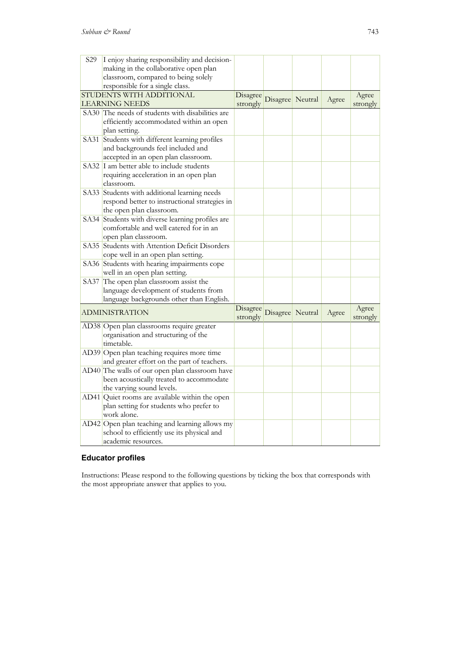| S29  | I enjoy sharing responsibility and decision-                                               |          |                  |                  |       |          |
|------|--------------------------------------------------------------------------------------------|----------|------------------|------------------|-------|----------|
|      | making in the collaborative open plan                                                      |          |                  |                  |       |          |
|      | classroom, compared to being solely                                                        |          |                  |                  |       |          |
|      | responsible for a single class.                                                            |          |                  |                  |       |          |
|      | STUDENTS WITH ADDITIONAL                                                                   | Disagree |                  | Disagree Neutral |       | Agree    |
|      | LEARNING NEEDS                                                                             | strongly |                  |                  | Agree | strongly |
|      | SA30 The needs of students with disabilities are                                           |          |                  |                  |       |          |
|      | efficiently accommodated within an open                                                    |          |                  |                  |       |          |
|      | plan setting.                                                                              |          |                  |                  |       |          |
|      | SA31 Students with different learning profiles                                             |          |                  |                  |       |          |
|      | and backgrounds feel included and                                                          |          |                  |                  |       |          |
|      | accepted in an open plan classroom.                                                        |          |                  |                  |       |          |
|      | SA32 I am better able to include students                                                  |          |                  |                  |       |          |
|      | requiring acceleration in an open plan                                                     |          |                  |                  |       |          |
|      | classroom.                                                                                 |          |                  |                  |       |          |
|      | SA33 Students with additional learning needs                                               |          |                  |                  |       |          |
|      | respond better to instructional strategies in                                              |          |                  |                  |       |          |
|      | the open plan classroom.                                                                   |          |                  |                  |       |          |
|      |                                                                                            |          |                  |                  |       |          |
|      | SA34 Students with diverse learning profiles are<br>comfortable and well catered for in an |          |                  |                  |       |          |
|      |                                                                                            |          |                  |                  |       |          |
|      | open plan classroom.                                                                       |          |                  |                  |       |          |
|      | SA35 Students with Attention Deficit Disorders                                             |          |                  |                  |       |          |
|      | cope well in an open plan setting.                                                         |          |                  |                  |       |          |
|      | SA36 Students with hearing impairments cope                                                |          |                  |                  |       |          |
|      | well in an open plan setting.                                                              |          |                  |                  |       |          |
| SA37 | The open plan classroom assist the                                                         |          |                  |                  |       |          |
|      | language development of students from                                                      |          |                  |                  |       |          |
|      | language backgrounds other than English.                                                   |          |                  |                  |       |          |
|      | <b>ADMINISTRATION</b>                                                                      | Disagree | Disagree Neutral |                  | Agree | Agree    |
|      |                                                                                            | strongly |                  |                  |       | strongly |
|      | AD38 Open plan classrooms require greater                                                  |          |                  |                  |       |          |
|      | organisation and structuring of the                                                        |          |                  |                  |       |          |
|      | timetable.                                                                                 |          |                  |                  |       |          |
|      | AD39 Open plan teaching requires more time                                                 |          |                  |                  |       |          |
|      | and greater effort on the part of teachers.                                                |          |                  |                  |       |          |
|      | AD40 The walls of our open plan classroom have                                             |          |                  |                  |       |          |
|      | been acoustically treated to accommodate                                                   |          |                  |                  |       |          |
|      | the varying sound levels.                                                                  |          |                  |                  |       |          |
|      | AD41 Quiet rooms are available within the open                                             |          |                  |                  |       |          |
|      | plan setting for students who prefer to                                                    |          |                  |                  |       |          |
|      | work alone.                                                                                |          |                  |                  |       |          |
|      | AD42 Open plan teaching and learning allows my                                             |          |                  |                  |       |          |
|      | school to efficiently use its physical and                                                 |          |                  |                  |       |          |
|      | academic resources.                                                                        |          |                  |                  |       |          |

## **Educator profiles**

Instructions: Please respond to the following questions by ticking the box that corresponds with the most appropriate answer that applies to you.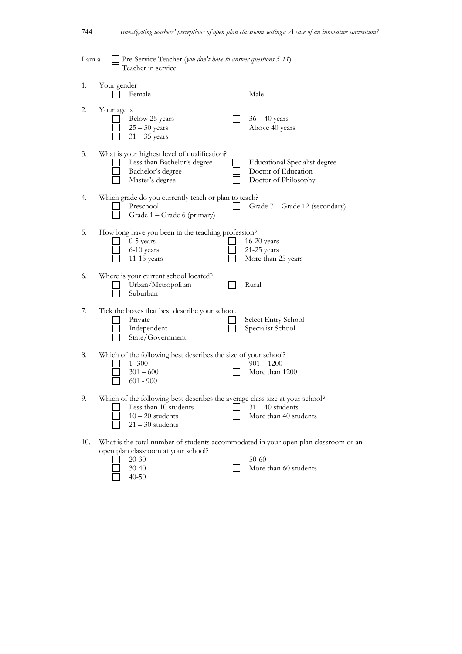| 1 am a |             | Pre-Service Teacher (you don't have to answer questions 5-11)<br>Teacher in service                                                               |                                                                                                                           |
|--------|-------------|---------------------------------------------------------------------------------------------------------------------------------------------------|---------------------------------------------------------------------------------------------------------------------------|
| 1.     | Your gender | Female                                                                                                                                            | Male                                                                                                                      |
| 2.     | Your age is | Below 25 years<br>$25 - 30$ years<br>$31 - 35$ years                                                                                              | $36 - 40$ years<br>Above 40 years                                                                                         |
| 3.     |             | What is your highest level of qualification?<br>Less than Bachelor's degree<br>Bachelor's degree<br>Master's degree                               | <b>Educational Specialist degree</b><br>Doctor of Education<br>Doctor of Philosophy                                       |
| 4.     |             | Which grade do you currently teach or plan to teach?<br>Preschool<br>Grade 1 - Grade 6 (primary)                                                  | Grade 7 – Grade 12 (secondary)                                                                                            |
| 5.     |             | How long have you been in the teaching profession?<br>0-5 years<br>6-10 years<br>11-15 years                                                      | $16-20$ years<br>21-25 years<br>More than 25 years                                                                        |
| 6.     |             | Where is your current school located?<br>Urban/Metropolitan<br>Suburban                                                                           | Rural                                                                                                                     |
| 7.     |             | Tick the boxes that best describe your school.<br>Private<br>Independent<br>State/Government                                                      | Select Entry School<br>Specialist School                                                                                  |
| 8.     |             | Which of the following best describes the size of your school?<br>$1 - 300$<br>$301 - 600$<br>$601 - 900$                                         | $901 - 1200$<br>More than 1200                                                                                            |
| 9.     |             | Which of the following best describes the average class size at your school?<br>Less than 10 students<br>$10 - 20$ students<br>$21 - 30$ students | $31 - 40$ students<br>More than 40 students                                                                               |
| 10.    |             | open plan classroom at your school?<br>$20 - 30$<br>$30 - 40$<br>$40 - 50$                                                                        | What is the total number of students accommodated in your open plan classroom or an<br>$50 - 60$<br>More than 60 students |